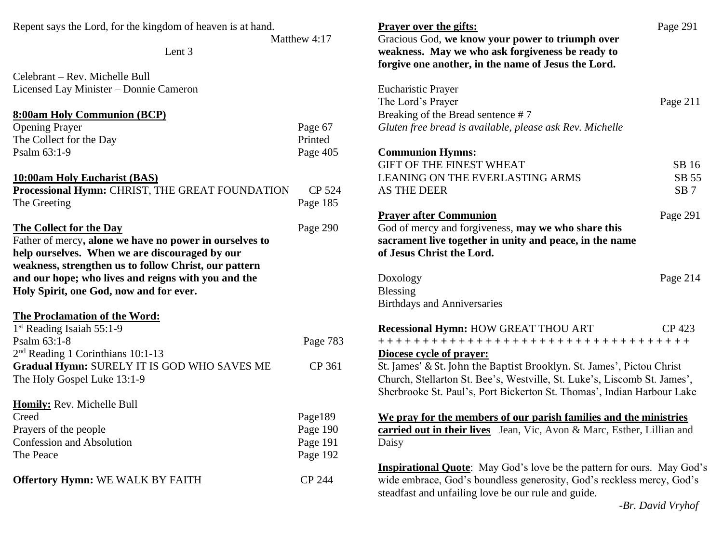| Repent says the Lord, for the kingdom of heaven is at hand. |          | <b>Prayer over the gifts:</b>                                                 | Page 291        |
|-------------------------------------------------------------|----------|-------------------------------------------------------------------------------|-----------------|
| Matthew 4:17                                                |          | Gracious God, we know your power to triumph over                              |                 |
| Lent 3                                                      |          | weakness. May we who ask forgiveness be ready to                              |                 |
|                                                             |          | forgive one another, in the name of Jesus the Lord.                           |                 |
| Celebrant – Rev. Michelle Bull                              |          |                                                                               |                 |
| Licensed Lay Minister - Donnie Cameron                      |          | <b>Eucharistic Prayer</b>                                                     |                 |
|                                                             |          | The Lord's Prayer                                                             | Page 211        |
| 8:00am Holy Communion (BCP)                                 |          | Breaking of the Bread sentence #7                                             |                 |
| <b>Opening Prayer</b>                                       | Page 67  | Gluten free bread is available, please ask Rev. Michelle                      |                 |
| The Collect for the Day                                     | Printed  |                                                                               |                 |
| Psalm 63:1-9                                                | Page 405 | <b>Communion Hymns:</b>                                                       |                 |
|                                                             |          | <b>GIFT OF THE FINEST WHEAT</b>                                               | SB 16           |
| 10:00am Holy Eucharist (BAS)                                |          | <b>LEANING ON THE EVERLASTING ARMS</b>                                        | SB 55           |
| Processional Hymn: CHRIST, THE GREAT FOUNDATION             | CP 524   | <b>AS THE DEER</b>                                                            | SB <sub>7</sub> |
| The Greeting                                                | Page 185 |                                                                               |                 |
|                                                             |          | <b>Prayer after Communion</b>                                                 | Page 291        |
| The Collect for the Day                                     | Page 290 | God of mercy and forgiveness, may we who share this                           |                 |
| Father of mercy, alone we have no power in ourselves to     |          | sacrament live together in unity and peace, in the name                       |                 |
| help ourselves. When we are discouraged by our              |          | of Jesus Christ the Lord.                                                     |                 |
| weakness, strengthen us to follow Christ, our pattern       |          |                                                                               |                 |
| and our hope; who lives and reigns with you and the         |          | Doxology                                                                      | Page 214        |
| Holy Spirit, one God, now and for ever.                     |          | <b>Blessing</b>                                                               |                 |
|                                                             |          | <b>Birthdays and Anniversaries</b>                                            |                 |
| <b>The Proclamation of the Word:</b>                        |          |                                                                               |                 |
| 1 <sup>st</sup> Reading Isaiah 55:1-9                       |          | Recessional Hymn: HOW GREAT THOU ART                                          | CP 423          |
| Psalm 63:1-8                                                |          |                                                                               |                 |
| $2nd$ Reading 1 Corinthians 10:1-13                         | Page 783 |                                                                               |                 |
|                                                             | CP 361   | Diocese cycle of prayer:                                                      |                 |
| Gradual Hymn: SURELY IT IS GOD WHO SAVES ME                 |          | St. James' & St. John the Baptist Brooklyn. St. James', Pictou Christ         |                 |
| The Holy Gospel Luke 13:1-9                                 |          | Church, Stellarton St. Bee's, Westville, St. Luke's, Liscomb St. James',      |                 |
|                                                             |          | Sherbrooke St. Paul's, Port Bickerton St. Thomas', Indian Harbour Lake        |                 |
| Homily: Rev. Michelle Bull                                  |          |                                                                               |                 |
| Creed                                                       | Page189  | We pray for the members of our parish families and the ministries             |                 |
| Prayers of the people                                       | Page 190 | carried out in their lives Jean, Vic, Avon & Marc, Esther, Lillian and        |                 |
| Confession and Absolution                                   | Page 191 | Daisy                                                                         |                 |
| The Peace                                                   | Page 192 |                                                                               |                 |
|                                                             |          | <b>Inspirational Quote:</b> May God's love be the pattern for ours. May God's |                 |
| <b>Offertory Hymn: WE WALK BY FAITH</b>                     | CP 244   | wide embrace, God's boundless generosity, God's reckless mercy, God's         |                 |
|                                                             |          | steadfast and unfailing love be our rule and guide.                           |                 |

 *-Br. David Vryhof*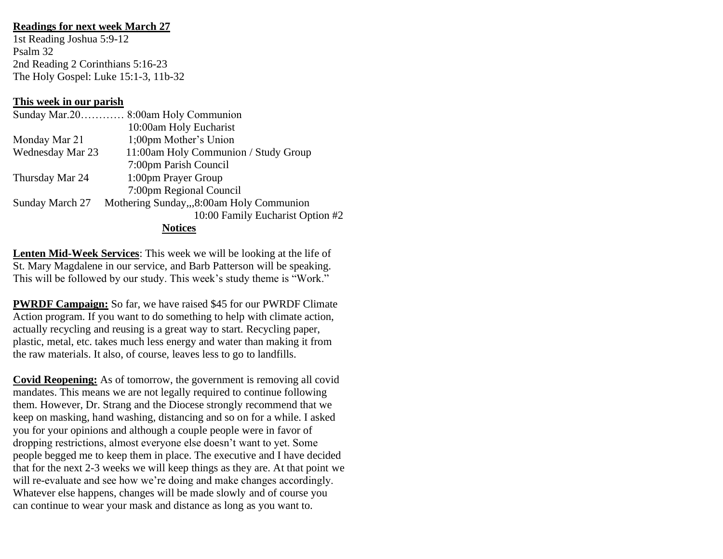## **Readings for next week March 27**

1st Reading Joshua 5:9-12 Psalm 32 2nd Reading 2 Corinthians 5:16-23 The Holy Gospel: Luke 15:1-3, 11b-32

## **This week in our parish**

|                  | Sunday Mar.20 8:00am Holy Communion      |  |  |
|------------------|------------------------------------------|--|--|
|                  | 10:00am Holy Eucharist                   |  |  |
| Monday Mar 21    | 1;00pm Mother's Union                    |  |  |
| Wednesday Mar 23 | 11:00am Holy Communion / Study Group     |  |  |
|                  | 7:00pm Parish Council                    |  |  |
| Thursday Mar 24  | 1:00pm Prayer Group                      |  |  |
|                  | 7:00pm Regional Council                  |  |  |
| Sunday March 27  | Mothering Sunday,,,8:00am Holy Communion |  |  |
|                  | 10:00 Family Eucharist Option #2         |  |  |
| <b>Notices</b>   |                                          |  |  |

**Lenten Mid-Week Services**: This week we will be looking at the life of St. Mary Magdalene in our service, and Barb Patterson will be speaking. This will be followed by our study. This week's study theme is "Work."

**PWRDF Campaign:** So far, we have raised \$45 for our PWRDF Climate Action program. If you want to do something to help with climate action, actually recycling and reusing is a great way to start. Recycling paper, plastic, metal, etc. takes much less energy and water than making it from the raw materials. It also, of course, leaves less to go to landfills.

**Covid Reopening:** As of tomorrow, the government is removing all covid mandates. This means we are not legally required to continue following them. However, Dr. Strang and the Diocese strongly recommend that we keep on masking, hand washing, distancing and so on for a while. I asked you for your opinions and although a couple people were in favor of dropping restrictions, almost everyone else doesn't want to yet. Some people begged me to keep them in place. The executive and I have decided that for the next 2-3 weeks we will keep things as they are. At that point we will re-evaluate and see how we're doing and make changes accordingly. Whatever else happens, changes will be made slowly and of course you can continue to wear your mask and distance as long as you want to.